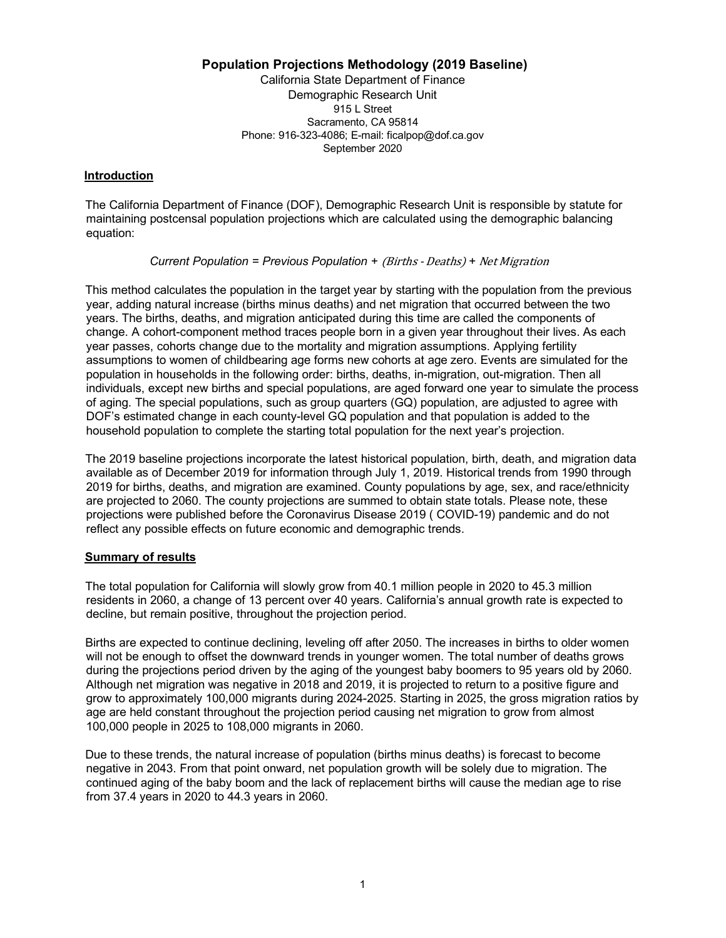## **Population Projections Methodology (2019 Baseline)**

 California State Department of Finance Demographic Research Unit Sacramento, CA 95814 915 L Street Phone: 916-323-4086; E-mail: [ficalpop@dof.ca.gov](mailto:ficalpop@dof.ca.gov) September 2020

#### **Introduction**

 The California Department of Finance (DOF), Demographic Research Unit is responsible by statute for maintaining postcensal population projections which are calculated using the demographic balancing equation:

**Current Population = Previous Population + (Births - Deaths) + Net Migration** 

 This method calculates the population in the target year by starting with the population from the previous year, adding natural increase (births minus deaths) and net migration that occurred between the two years. The births, deaths, and migration anticipated during this time are called the components of change. A cohort-component method traces people born in a given year throughout their lives. As each year passes, cohorts change due to the mortality and migration assumptions. Applying fertility assumptions to women of childbearing age forms new cohorts at age zero. Events are simulated for the population in households in the following order: births, deaths, in-migration, out-migration. Then all individuals, except new births and special populations, are aged forward one year to simulate the process of aging. The special populations, such as group quarters (GQ) population, are adjusted to agree with DOF's estimated change in each county-level GQ population and that population is added to the household population to complete the starting total population for the next year's projection.

 The 2019 baseline projections incorporate the latest historical population, birth, death, and migration data available as of December 2019 for information through July 1, 2019. Historical trends from 1990 through 2019 for births, deaths, and migration are examined. County populations by age, sex, and race/ethnicity are projected to 2060. The county projections are summed to obtain state totals. Please note, these projections were published before the Coronavirus Disease 2019 ( COVID-19) pandemic and do not reflect any possible effects on future economic and demographic trends.

## **Summary of results**

 The total population for California will slowly grow from 40.1 million people in 2020 to 45.3 million residents in 2060, a change of 13 percent over 40 years. California's annual growth rate is expected to decline, but remain positive, throughout the projection period.

 Births are expected to continue declining, leveling off after 2050. The increases in births to older women will not be enough to offset the downward trends in younger women. The total number of deaths grows during the projections period driven by the aging of the youngest baby boomers to 95 years old by 2060. Although net migration was negative in 2018 and 2019, it is projected to return to a positive figure and grow to approximately 100,000 migrants during 2024-2025. Starting in 2025, the gross migration ratios by age are held constant throughout the projection period causing net migration to grow from almost 100,000 people in 2025 to 108,000 migrants in 2060.

 Due to these trends, the natural increase of population (births minus deaths) is forecast to become negative in 2043. From that point onward, net population growth will be solely due to migration. The continued aging of the baby boom and the lack of replacement births will cause the median age to rise from 37.4 years in 2020 to 44.3 years in 2060.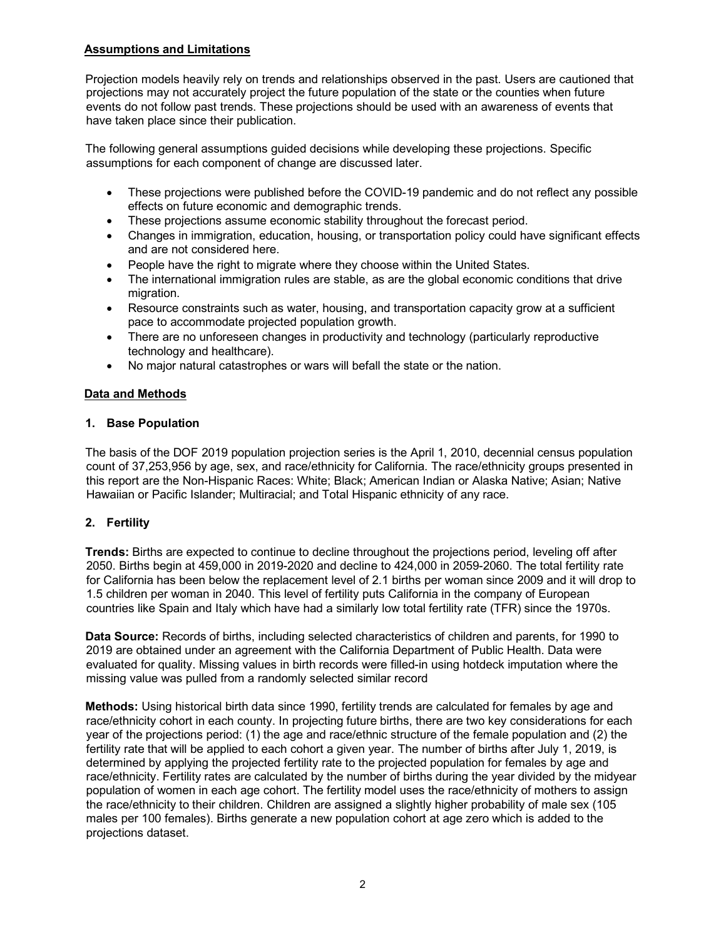## **Assumptions and Limitations**

 Projection models heavily rely on trends and relationships observed in the past. Users are cautioned that projections may not accurately project the future population of the state or the counties when future events do not follow past trends. These projections should be used with an awareness of events that have taken place since their publication.

 The following general assumptions guided decisions while developing these projections. Specific assumptions for each component of change are discussed later.

- $\bullet$  effects on future economic and demographic trends. • These projections were published before the COVID-19 pandemic and do not reflect any possible
- $\bullet$ • These projections assume economic stability throughout the forecast period.
- • Changes in immigration, education, housing, or transportation policy could have significant effects and are not considered here.
- People have the right to migrate where they choose within the United States.
- • The international immigration rules are stable, as are the global economic conditions that drive migration.
- • Resource constraints such as water, housing, and transportation capacity grow at a sufficient pace to accommodate projected population growth.
- • There are no unforeseen changes in productivity and technology (particularly reproductive technology and healthcare).
- No major natural catastrophes or wars will befall the state or the nation.

# **Data and Methods**

## **1. Base Population**

 The basis of the DOF 2019 population projection series is the April 1, 2010, decennial census population count of 37,253,956 by age, sex, and race/ethnicity for California. The race/ethnicity groups presented in this report are the Non-Hispanic Races: White; Black; American Indian or Alaska Native; Asian; Native Hawaiian or Pacific Islander; Multiracial; and Total Hispanic ethnicity of any race.

## **2. Fertility**

 **Trends:** Births are expected to continue to decline throughout the projections period, leveling off after 2050. Births begin at 459,000 in 2019-2020 and decline to 424,000 in 2059-2060. The total fertility rate for California has been below the replacement level of 2.1 births per woman since 2009 and it will drop to 1.5 children per woman in 2040. This level of fertility puts California in the company of European countries like Spain and Italy which have had a similarly low total fertility rate (TFR) since the 1970s.

 **Data Source:** Records of births, including selected characteristics of children and parents, for 1990 to 2019 are obtained under an agreement with the California Department of Public Health. Data were evaluated for quality. Missing values in birth records were filled-in using hotdeck imputation where the missing value was pulled from a randomly selected similar record

 **Methods:** Using historical birth data since 1990, fertility trends are calculated for females by age and race/ethnicity cohort in each county. In projecting future births, there are two key considerations for each year of the projections period: (1) the age and race/ethnic structure of the female population and (2) the fertility rate that will be applied to each cohort a given year. The number of births after July 1, 2019, is determined by applying the projected fertility rate to the projected population for females by age and race/ethnicity. Fertility rates are calculated by the number of births during the year divided by the midyear population of women in each age cohort. The fertility model uses the race/ethnicity of mothers to assign the race/ethnicity to their children. Children are assigned a slightly higher probability of male sex (105 males per 100 females). Births generate a new population cohort at age zero which is added to the projections dataset.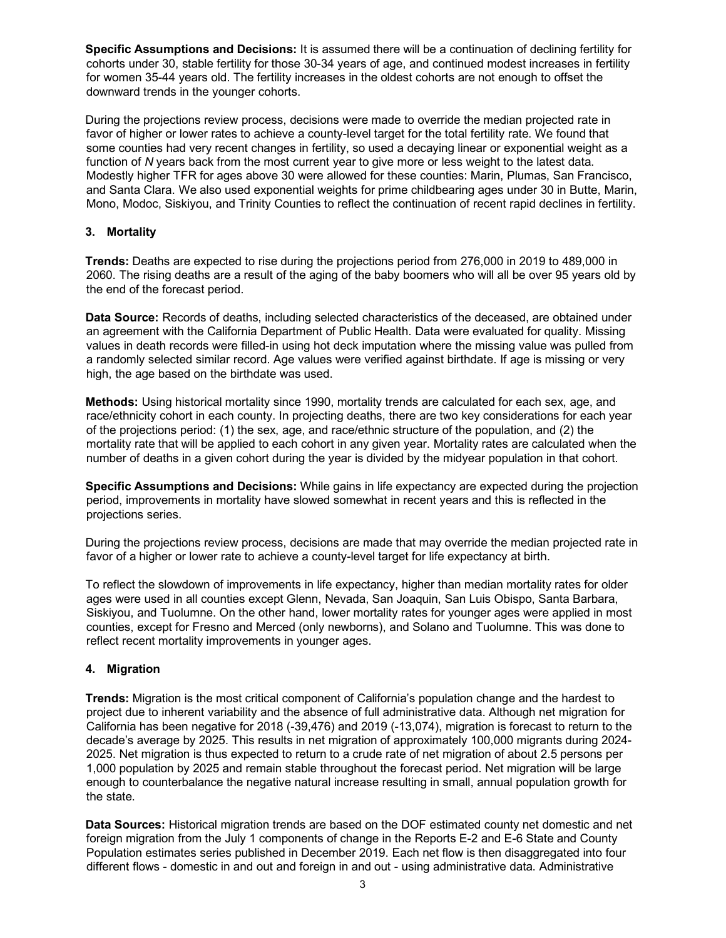**Specific Assumptions and Decisions:** It is assumed there will be a continuation of declining fertility for cohorts under 30, stable fertility for those 30-34 years of age, and continued modest increases in fertility for women 35-44 years old. The fertility increases in the oldest cohorts are not enough to offset the downward trends in the younger cohorts.

 During the projections review process, decisions were made to override the median projected rate in favor of higher or lower rates to achieve a county-level target for the total fertility rate. We found that some counties had very recent changes in fertility, so used a decaying linear or exponential weight as a function of *N* years back from the most current year to give more or less weight to the latest data. Modestly higher TFR for ages above 30 were allowed for these counties: Marin, Plumas, San Francisco, and Santa Clara. We also used exponential weights for prime childbearing ages under 30 in Butte, Marin, Mono, Modoc, Siskiyou, and Trinity Counties to reflect the continuation of recent rapid declines in fertility.

## **3. Mortality**

 **Trends:** Deaths are expected to rise during the projections period from 276,000 in 2019 to 489,000 in 2060. The rising deaths are a result of the aging of the baby boomers who will all be over 95 years old by the end of the forecast period.

 **Data Source:** Records of deaths, including selected characteristics of the deceased, are obtained under an agreement with the California Department of Public Health. Data were evaluated for quality. Missing values in death records were filled-in using hot deck imputation where the missing value was pulled from a randomly selected similar record. Age values were verified against birthdate. If age is missing or very high, the age based on the birthdate was used.

 **Methods:** Using historical mortality since 1990, mortality trends are calculated for each sex, age, and race/ethnicity cohort in each county. In projecting deaths, there are two key considerations for each year of the projections period: (1) the sex, age, and race/ethnic structure of the population, and (2) the mortality rate that will be applied to each cohort in any given year. Mortality rates are calculated when the number of deaths in a given cohort during the year is divided by the midyear population in that cohort.

 **Specific Assumptions and Decisions:** While gains in life expectancy are expected during the projection period, improvements in mortality have slowed somewhat in recent years and this is reflected in the projections series.

projections series.<br>During the projections review process, decisions are made that may override the median projected rate in favor of a higher or lower rate to achieve a county-level target for life expectancy at birth.

 To reflect the slowdown of improvements in life expectancy, higher than median mortality rates for older ages were used in all counties except Glenn, Nevada, San Joaquin, San Luis Obispo, Santa Barbara, Siskiyou, and Tuolumne. On the other hand, lower mortality rates for younger ages were applied in most counties, except for Fresno and Merced (only newborns), and Solano and Tuolumne. This was done to reflect recent mortality improvements in younger ages.

#### **4. Migration**

 **Trends:** Migration is the most critical component of California's population change and the hardest to project due to inherent variability and the absence of full administrative data. Although net migration for California has been negative for 2018 (-39,476) and 2019 (-13,074), migration is forecast to return to the decade's average by 2025. This results in net migration of approximately 100,000 migrants during 2024- 2025. Net migration is thus expected to return to a crude rate of net migration of about 2.5 persons per 1,000 population by 2025 and remain stable throughout the forecast period. Net migration will be large enough to counterbalance the negative natural increase resulting in small, annual population growth for the state.

 **Data Sources:** Historical migration trends are based on the DOF estimated county net domestic and net foreign migration from the July 1 components of change in the Reports E-2 and E-6 State and County Population estimates series published in December 2019. Each net flow is then disaggregated into four different flows - domestic in and out and foreign in and out - using administrative data. Administrative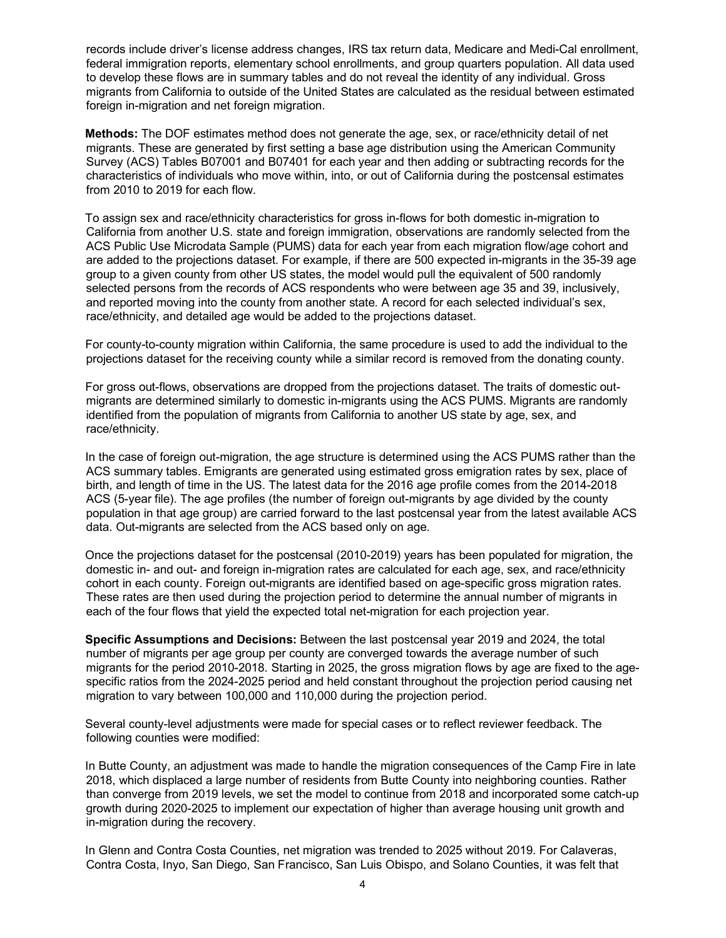records include driver's license address changes, IRS tax return data, Medicare and Medi-Cal enrollment, federal immigration reports, elementary school enrollments, and group quarters population. All data used to develop these flows are in summary tables and do not reveal the identity of any individual. Gross migrants from California to outside of the United States are calculated as the residual between estimated foreign in-migration and net foreign migration.

 **Methods:** The DOF estimates method does not generate the age, sex, or race/ethnicity detail of net migrants. These are generated by first setting a base age distribution using the American Community Survey (ACS) Tables B07001 and B07401 for each year and then adding or subtracting records for the characteristics of individuals who move within, into, or out of California during the postcensal estimates from 2010 to 2019 for each flow.

 To assign sex and race/ethnicity characteristics for gross in-flows for both domestic in-migration to California from another U.S. state and foreign immigration, observations are randomly selected from the ACS Public Use Microdata Sample (PUMS) data for each year from each migration flow/age cohort and are added to the projections dataset. For example, if there are 500 expected in-migrants in the 35-39 age group to a given county from other US states, the model would pull the equivalent of 500 randomly selected persons from the records of ACS respondents who were between age 35 and 39, inclusively, and reported moving into the county from another state. A record for each selected individual's sex, race/ethnicity, and detailed age would be added to the projections dataset.

 For county-to-county migration within California, the same procedure is used to add the individual to the projections dataset for the receiving county while a similar record is removed from the donating county.

 For gross out-flows, observations are dropped from the projections dataset. The traits of domestic out- migrants are determined similarly to domestic in-migrants using the ACS PUMS. Migrants are randomly identified from the population of migrants from California to another US state by age, sex, and race/ethnicity.

 In the case of foreign out-migration, the age structure is determined using the ACS PUMS rather than the ACS summary tables. Emigrants are generated using estimated gross emigration rates by sex, place of birth, and length of time in the US. The latest data for the 2016 age profile comes from the 2014-2018 ACS (5-year file). The age profiles (the number of foreign out-migrants by age divided by the county population in that age group) are carried forward to the last postcensal year from the latest available ACS data. Out-migrants are selected from the ACS based only on age.

 Once the projections dataset for the postcensal (2010-2019) years has been populated for migration, the domestic in- and out- and foreign in-migration rates are calculated for each age, sex, and race/ethnicity cohort in each county. Foreign out-migrants are identified based on age-specific gross migration rates. These rates are then used during the projection period to determine the annual number of migrants in each of the four flows that yield the expected total net-migration for each projection year.

 **Specific Assumptions and Decisions:** Between the last postcensal year 2019 and 2024, the total number of migrants per age group per county are converged towards the average number of such migrants for the period 2010-2018. Starting in 2025, the gross migration flows by age are fixed to the age- specific ratios from the 2024-2025 period and held constant throughout the projection period causing net migration to vary between 100,000 and 110,000 during the projection period.

 Several county-level adjustments were made for special cases or to reflect reviewer feedback. The following counties were modified:

 In Butte County, an adjustment was made to handle the migration consequences of the Camp Fire in late 2018, which displaced a large number of residents from Butte County into neighboring counties. Rather than converge from 2019 levels, we set the model to continue from 2018 and incorporated some catch-up growth during 2020-2025 to implement our expectation of higher than average housing unit growth and in-migration during the recovery.

 In Glenn and Contra Costa Counties, net migration was trended to 2025 without 2019. For Calaveras, Contra Costa, Inyo, San Diego, San Francisco, San Luis Obispo, and Solano Counties, it was felt that